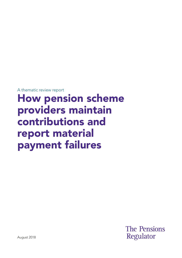A thematic review report

# How pension scheme providers maintain contributions and report material payment failures

**The Pensions** Regulator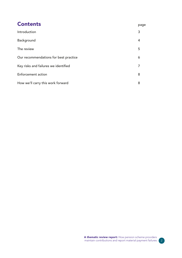| <b>Contents</b>                       | page |
|---------------------------------------|------|
| Introduction                          | 3    |
| Background                            | 4    |
| The review                            | 5    |
| Our recommendations for best practice | 6    |
| Key risks and failures we identified  | 7    |
| <b>Enforcement action</b>             | 8    |
| How we'll carry this work forward     | 8    |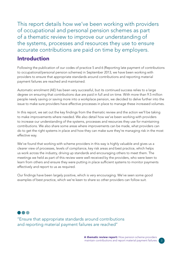This report details how we've been working with providers of occupational and personal pension schemes as part of a thematic review to improve our understanding of the systems, processes and resources they use to ensure accurate contributions are paid on time by employers.

#### Introduction

Following the publication of our codes of practice 5 and 6 (Reporting late payment of contributions to occupational/personal pension schemes) in September 2013, we have been working with providers to ensure that appropriate standards around contributions and reporting material payment failures are reached and maintained.

Automatic enrolment (AE) has been very successful, but its continued success relies to a large degree on ensuring that contributions due are paid in full and on time. With more than 9.5 million people newly saving or saving more into a workplace pension, we decided to delve further into the issue to make sure providers have effective processes in place to manage these increased volumes.

In this report, we set out the key findings from the thematic review and the action we'll be taking to make improvements where needed. We also detail how we've been working with providers to increase our understanding of the systems, processes and resources they use for maintaining contributions. We also share some areas where improvements can be made, what providers can do to get the right systems in place and how they can make sure they're managing risk in the most effective way.

We've found that working with scheme providers in this way is highly valuable and gives us a clearer view of processes, levels of compliance, key risk areas and best practice, which helps us work across the industry, driving up standards and encouraging others to meet them. The meetings we held as part of this review were well-received by the providers, who were keen to learn from others and ensure they were putting in place sufficient systems to monitor payments effectively and report to us as required.

Our findings have been largely positive, which is very encouraging. We've seen some good examples of best practice, which we're keen to share so other providers can follow suit.

''Ensure that appropriate standards around contributions and reporting material payment failures are reached''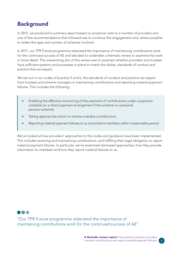## **Background**

In 2015, we produced a summary report based on proactive visits to a number of providers and one of the recommendations that followed was to continue this engagement and, where possible, to widen the type and number of schemes involved.

In 2017, our TPR Future programme reiterated the importance of maintaining contributions work for the continued success of AE and decided to undertake a thematic review to examine this work in more detail. The overarching aim of this review was to ascertain whether providers and trustees have sufficient systems and processes in place to match the duties, standards of conduct and practice that we expect.

We set out in our codes of practice 5 and 6, the standards of conduct and practice we expect from trustees and scheme managers in maintaining contributions and reporting material payment failures. This includes the following:

- Enabling the effective monitoring of the payment of contributions under a payment schedule (or a direct payment arrangement if the scheme is a personal pension scheme).
- Taking appropriate action to resolve overdue contributions.
- Reporting material payment failures to us and scheme members within a reasonable period.

We've looked at how providers' approaches to the codes and guidance have been implemented. This includes receiving and maintaining contributions, and fulflling their legal obligation to report material payment failures. In particular, we've examined risk-based approaches, how they provide information to members and how they report material failures to us.

''Our TPR Future programme reiterated the importance of maintaining contributions work for the continued success of AE''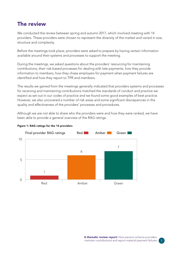#### The review

We conducted the review between spring and autumn 2017, which involved meeting with 14 providers. These providers were chosen to represent the diversity of the market and varied in size, structure and complexity.

Before the meetings took place, providers were asked to prepare by having certain information available around their systems and processes to support the meeting.

During the meetings, we asked questions about the providers' resourcing for maintaining contributions, their risk-based processes for dealing with late payments, how they provide information to members, how they chase employers for payment when payment failures are identified and how they report to TPR and members.

The results we gained from the meetings generally indicated that providers systems and processes for receiving and maintaining contributions matched the standards of conduct and practice we expect as set out in our codes of practice and we found some good examples of best practice. However, we also uncovered a number of risk areas and some significant discrepancies in the quality and effectiveness of the providers' processes and procedures.

Although we are not able to share who the providers were and how they were ranked, we have been able to provide a general overview of the RAG ratings.



#### Figure 1: RAG ratings for the 14 providers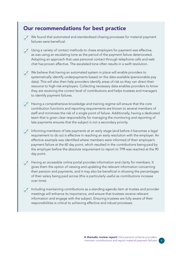#### Our recommendations for best practice

- We found that automated and standardised chasing processes for material payment failures were beneficial
- $\oslash$  Using a variety of contact methods to chase employers for payment was effective, as was using an escalating tone as the period of the payment failure deteriorated. Adopting an approach that uses personal contact through telephone calls and web chat has proven effective. The escalated tone often results in a swift resolution.
- We believe that having an automated system in place will enable providers to systematically identify underpayments based on the data available (pensionable pay data). This will also then help providers identify areas of risk so they can direct their resource to high-risk employers. Collecting necessary data enables providers to know they are receiving the correct level of contributions and helps trustees and managers to identify payment failures.
- Having a comprehensive knowledge and training regime will ensure that the core contribution functions and reporting requirements are known to several members of staff and minimises the risk of a single point of failure. Additionally, having a dedicated team that is given clear responsibility for managing the monitoring and reporting of late payments ensures that the subject is not a secondary priority.
- Informing members of late payments at an early stage (and before it becomes a legal requirement to do so) is effective in reaching an early resolution with the employer. An effective example was identifed where members were informed of their employer's payment failure at the 60 day point, which resulted in the contributions being paid by the employer before the absolute requirement to report to TPR was reached at the 90 day point.
- Having an accessible online portal provides information and clarity for members. It gives them the option of viewing and updating the relevant information concerning their pension and payments, and it may also be beneficial in showing the percentages of their salary being paid across (this is particularly useful as contributions increase over time).
- Including maintaining contributions as a standing agenda item at trustee and provider meetings will enhance its importance, and ensure that trustees receive relevant information and engage with the subject. Ensuring trustees are fully aware of their responsibilities is critical to achieving effective and robust processes.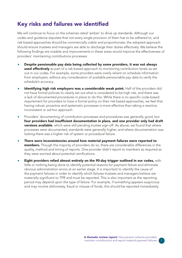## Key risks and failures we identifed

We will continue to focus on the schemes rated 'amber' to drive up standards. Although our codes and guidance stipulate that not every single provision of them has to be adhered to, and risk-based approaches should be commercially viable and proportionate, the adopted approach should ensure trustees and managers are able to discharge their duties effectively. We believe the following fndings are notable and improvements in these areas would improve the effectiveness of providers' maintaining contributions processes:

- ▶ Despite pensionable pay data being collected by some providers, it was not always used effectively as part of a risk-based approach to monitoring contribution levels as set out in our codes. For example, some providers were overly reliant on schedule information from employers, without any consideration of available pensionable pay data to verify the schedule's accuracy.
- **Identifying high risk employers was a considerable weak point.** Half of the providers did not have formal policies to clearly set out what is considered to be high risk, and there was a lack of documented procedures in place to do this. While there is no specific code-based requirement for providers to have a formal policy on their risk based approaches, we feel that having robust, proactive and systematic processes is more effective than taking a reactive, inconsistent or ad-hoc approach.
- Providers' documenting of contribution processes and procedures was generally good, but four providers had insufficient documentation in place, and one provider only had draft **versions available**, which were still pending trustee sign-off. As above, we found that where processes were documented, standards were generally higher, and where documentation was lacking there was a higher risk of system or procedural failure.
- **There were inconsistencies around how material payment failures were reported to** members. Though the majority of providers do so, there are considerable differences in the quality, method and timing of reports. One provider didn't report to members as required as they were worried about potential ramifications.
- $\blacktriangleright$  Eight providers relied almost entirely on the 90-day trigger outlined in our codes, with little or nothing being done to identify potential reasons for payment failure and eliminate obvious administration errors at an earlier stage. It is important to identify the cause of the payment failures in order to identify which failures trustees and managers believe are materially signifcant to TPR and must be reported. This is also important as the reporting period may depend upon the type of failure. For example, if something appears suspicious and may involve dishonesty, fraud or misuse of funds, this should be reported immediately.

7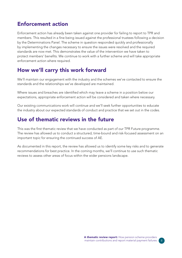#### Enforcement action

Enforcement action has already been taken against one provider for failing to report to TPR and members. This resulted in a fine being issued against the professional trustees following a decision by the Determinations Panel. The scheme in question responded quickly and professionally by implementing the changes necessary to ensure the issues were resolved and the required standards are now met. This demonstrates the value of the intervention we have taken to protect members' benefts. We continue to work with a further scheme and will take appropriate enforcement action where required.

## How we'll carry this work forward

We'll maintain our engagement with the industry and the schemes we've contacted to ensure the standards and the relationships we've developed are maintained.

Where issues and breaches are identified which may leave a scheme in a position below our expectations, appropriate enforcement action will be considered and taken where necessary.

Our existing communications work will continue and we'll seek further opportunities to educate the industry about our expected standards of conduct and practice that we set out in the codes.

## Use of thematic reviews in the future

This was the first thematic review that we have conducted as part of our TPR Future programme. The review has allowed us to conduct a structured, time-bound and risk-focused assessment on an important topic for ensuring the continued success of AE.

As documented in this report, the review has allowed us to identify some key risks and to generate recommendations for best practice. In the coming months, we'll continue to use such thematic reviews to assess other areas of focus within the wider pensions landscape.